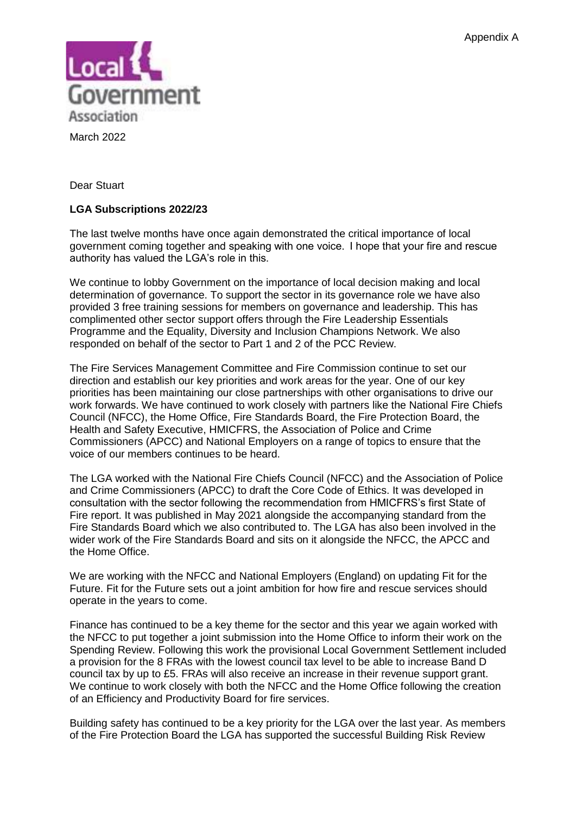

March 2022

Dear Stuart

## **LGA Subscriptions 2022/23**

The last twelve months have once again demonstrated the critical importance of local government coming together and speaking with one voice.  I hope that your fire and rescue authority has valued the LGA's role in this.

We continue to lobby Government on the importance of local decision making and local determination of governance. To support the sector in its governance role we have also provided 3 free training sessions for members on governance and leadership. This has complimented other sector support offers through the Fire Leadership Essentials Programme and the Equality, Diversity and Inclusion Champions Network. We also responded on behalf of the sector to Part 1 and 2 of the PCC Review.

The Fire Services Management Committee and Fire Commission continue to set our direction and establish our key priorities and work areas for the year. One of our key priorities has been maintaining our close partnerships with other organisations to drive our work forwards. We have continued to work closely with partners like the National Fire Chiefs Council (NFCC), the Home Office, Fire Standards Board, the Fire Protection Board, the Health and Safety Executive, HMICFRS, the Association of Police and Crime Commissioners (APCC) and National Employers on a range of topics to ensure that the voice of our members continues to be heard.

The LGA worked with the National Fire Chiefs Council (NFCC) and the Association of Police and Crime Commissioners (APCC) to draft the Core Code of Ethics. It was developed in consultation with the sector following the recommendation from HMICFRS's first State of Fire report. It was published in May 2021 alongside the accompanying standard from the Fire Standards Board which we also contributed to. The LGA has also been involved in the wider work of the Fire Standards Board and sits on it alongside the NFCC, the APCC and the Home Office.

We are working with the NFCC and National Employers (England) on updating Fit for the Future. Fit for the Future sets out a joint ambition for how fire and rescue services should operate in the years to come.

Finance has continued to be a key theme for the sector and this year we again worked with the NFCC to put together a joint submission into the Home Office to inform their work on the Spending Review. Following this work the provisional Local Government Settlement included a provision for the 8 FRAs with the lowest council tax level to be able to increase Band D council tax by up to £5. FRAs will also receive an increase in their revenue support grant. We continue to work closely with both the NFCC and the Home Office following the creation of an Efficiency and Productivity Board for fire services.

Building safety has continued to be a key priority for the LGA over the last year. As members of the Fire Protection Board the LGA has supported the successful Building Risk Review